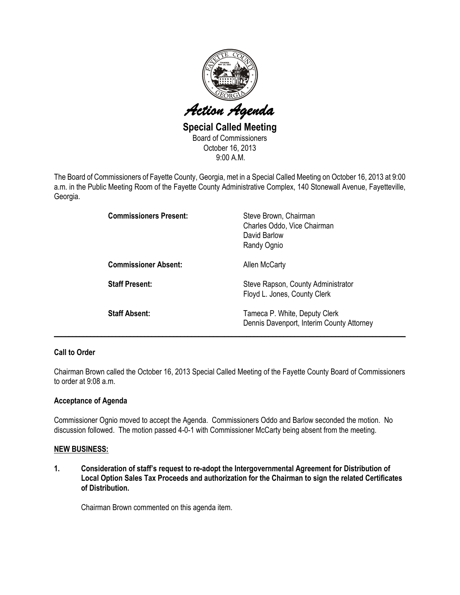

Special Called Meeting Board of Commissioners October 16, 2013 9:00 A.M.

The Board of Commissioners of Fayette County, Georgia, met in a Special Called Meeting on October 16, 2013 at 9:00 a.m. in the Public Meeting Room of the Fayette County Administrative Complex, 140 Stonewall Avenue, Fayetteville, Georgia.

| <b>Commissioners Present:</b> | Steve Brown, Chairman<br>Charles Oddo, Vice Chairman<br>David Barlow<br>Randy Ognio |
|-------------------------------|-------------------------------------------------------------------------------------|
| <b>Commissioner Absent:</b>   | Allen McCarty                                                                       |
| <b>Staff Present:</b>         | Steve Rapson, County Administrator<br>Floyd L. Jones, County Clerk                  |
| <b>Staff Absent:</b>          | Tameca P. White, Deputy Clerk<br>Dennis Davenport, Interim County Attorney          |

## Call to Order

Chairman Brown called the October 16, 2013 Special Called Meeting of the Fayette County Board of Commissioners to order at 9:08 a.m.

\_\_\_\_\_\_\_\_\_\_\_\_\_\_\_\_\_\_\_\_\_\_\_\_\_\_\_\_\_\_\_\_\_\_\_\_\_\_\_\_\_\_\_\_\_\_\_\_\_\_\_\_\_\_\_\_\_\_\_\_\_\_\_\_\_\_\_\_\_\_\_\_\_\_\_\_\_\_\_\_\_\_\_\_\_\_\_\_\_\_\_\_\_\_\_\_

## Acceptance of Agenda

Commissioner Ognio moved to accept the Agenda. Commissioners Oddo and Barlow seconded the motion. No discussion followed. The motion passed 4-0-1 with Commissioner McCarty being absent from the meeting.

## NEW BUSINESS:

1. Consideration of staff's request to re-adopt the Intergovernmental Agreement for Distribution of Local Option Sales Tax Proceeds and authorization for the Chairman to sign the related Certificates of Distribution.

Chairman Brown commented on this agenda item.